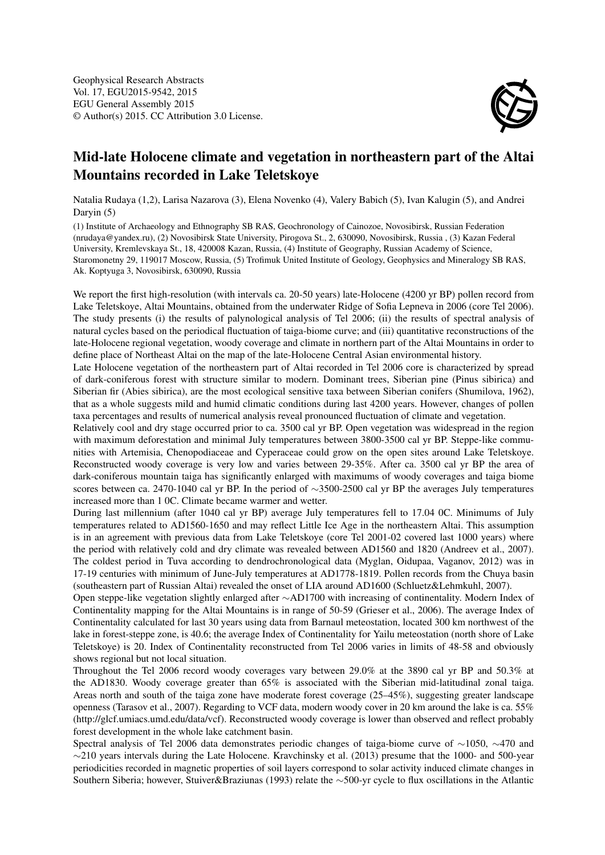

## Mid-late Holocene climate and vegetation in northeastern part of the Altai Mountains recorded in Lake Teletskoye

Natalia Rudaya (1,2), Larisa Nazarova (3), Elena Novenko (4), Valery Babich (5), Ivan Kalugin (5), and Andrei Daryin (5)

(1) Institute of Archaeology and Ethnography SB RAS, Geochronology of Cainozoe, Novosibirsk, Russian Federation (nrudaya@yandex.ru), (2) Novosibirsk State University, Pirogova St., 2, 630090, Novosibirsk, Russia , (3) Kazan Federal University, Kremlevskaya St., 18, 420008 Kazan, Russia, (4) Institute of Geography, Russian Academy of Science, Staromonetny 29, 119017 Moscow, Russia, (5) Trofimuk United Institute of Geology, Geophysics and Mineralogy SB RAS, Ak. Koptyuga 3, Novosibirsk, 630090, Russia

We report the first high-resolution (with intervals ca. 20-50 years) late-Holocene (4200 yr BP) pollen record from Lake Teletskoye, Altai Mountains, obtained from the underwater Ridge of Sofia Lepneva in 2006 (core Tel 2006). The study presents (i) the results of palynological analysis of Tel 2006; (ii) the results of spectral analysis of natural cycles based on the periodical fluctuation of taiga-biome curve; and (iii) quantitative reconstructions of the late-Holocene regional vegetation, woody coverage and climate in northern part of the Altai Mountains in order to define place of Northeast Altai on the map of the late-Holocene Central Asian environmental history.

Late Holocene vegetation of the northeastern part of Altai recorded in Tel 2006 core is characterized by spread of dark-coniferous forest with structure similar to modern. Dominant trees, Siberian pine (Pinus sibirica) and Siberian fir (Abies sibirica), are the most ecological sensitive taxa between Siberian conifers (Shumilova, 1962), that as a whole suggests mild and humid climatic conditions during last 4200 years. However, changes of pollen taxa percentages and results of numerical analysis reveal pronounced fluctuation of climate and vegetation.

Relatively cool and dry stage occurred prior to ca. 3500 cal yr BP. Open vegetation was widespread in the region with maximum deforestation and minimal July temperatures between 3800-3500 cal yr BP. Steppe-like communities with Artemisia, Chenopodiaceae and Cyperaceae could grow on the open sites around Lake Teletskoye. Reconstructed woody coverage is very low and varies between 29-35%. After ca. 3500 cal yr BP the area of dark-coniferous mountain taiga has significantly enlarged with maximums of woody coverages and taiga biome scores between ca. 2470-1040 cal yr BP. In the period of ∼3500-2500 cal yr BP the averages July temperatures increased more than 1 0C. Climate became warmer and wetter.

During last millennium (after 1040 cal yr BP) average July temperatures fell to 17.04 0C. Minimums of July temperatures related to AD1560-1650 and may reflect Little Ice Age in the northeastern Altai. This assumption is in an agreement with previous data from Lake Teletskoye (core Tel 2001-02 covered last 1000 years) where the period with relatively cold and dry climate was revealed between AD1560 and 1820 (Andreev et al., 2007). The coldest period in Tuva according to dendrochronological data (Myglan, Oidupaa, Vaganov, 2012) was in 17-19 centuries with minimum of June-July temperatures at AD1778-1819. Pollen records from the Chuya basin (southeastern part of Russian Altai) revealed the onset of LIA around AD1600 (Schluetz&Lehmkuhl, 2007).

Open steppe-like vegetation slightly enlarged after ∼AD1700 with increasing of continentality. Modern Index of Continentality mapping for the Altai Mountains is in range of 50-59 (Grieser et al., 2006). The average Index of Continentality calculated for last 30 years using data from Barnaul meteostation, located 300 km northwest of the lake in forest-steppe zone, is 40.6; the average Index of Continentality for Yailu meteostation (north shore of Lake Teletskoye) is 20. Index of Continentality reconstructed from Tel 2006 varies in limits of 48-58 and obviously shows regional but not local situation.

Throughout the Tel 2006 record woody coverages vary between 29.0% at the 3890 cal yr BP and 50.3% at the AD1830. Woody coverage greater than 65% is associated with the Siberian mid-latitudinal zonal taiga. Areas north and south of the taiga zone have moderate forest coverage (25–45%), suggesting greater landscape openness (Tarasov et al., 2007). Regarding to VCF data, modern woody cover in 20 km around the lake is ca. 55% (http://glcf.umiacs.umd.edu/data/vcf). Reconstructed woody coverage is lower than observed and reflect probably forest development in the whole lake catchment basin.

Spectral analysis of Tel 2006 data demonstrates periodic changes of taiga-biome curve of ∼1050, ∼470 and ∼210 years intervals during the Late Holocene. Kravchinsky et al. (2013) presume that the 1000- and 500-year periodicities recorded in magnetic properties of soil layers correspond to solar activity induced climate changes in Southern Siberia; however, Stuiver&Braziunas (1993) relate the ∼500-yr cycle to flux oscillations in the Atlantic